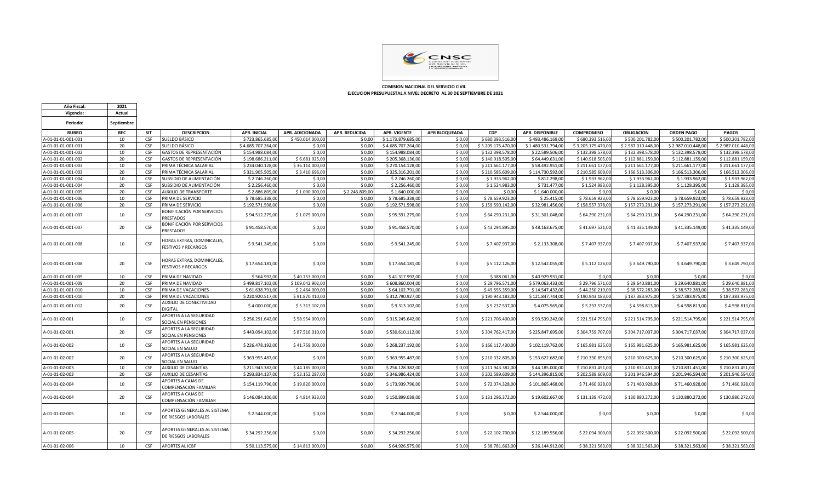

 **COMISION NACIONAL DEL SERVICIO CIVIL EJECUCION PRESUPUESTAL A NIVEL DECRETO AL 30 DE SEPTIEMBRE DE 2021**

| Año Fiscal:        | 2021       |            |                                                          |                     |                  |                      |                     |                      |                    |                        |                    |                    |                    |                    |
|--------------------|------------|------------|----------------------------------------------------------|---------------------|------------------|----------------------|---------------------|----------------------|--------------------|------------------------|--------------------|--------------------|--------------------|--------------------|
| Vigencia:          | Actual     |            |                                                          |                     |                  |                      |                     |                      |                    |                        |                    |                    |                    |                    |
| Periodo:           | Septiembre |            |                                                          |                     |                  |                      |                     |                      |                    |                        |                    |                    |                    |                    |
| <b>RUBRO</b>       | <b>REC</b> | <b>SIT</b> | <b>DESCRIPCION</b>                                       | <b>APR. INICIAL</b> | APR. ADICIONADA  | <b>APR. REDUCIDA</b> | <b>APR. VIGENTE</b> | <b>APR BLOQUEADA</b> | <b>CDP</b>         | <b>APR. DISPONIBLE</b> | <b>COMPROMISO</b>  | <b>OBLIGACION</b>  | <b>ORDEN PAGO</b>  | PAGOS              |
| A-01-01-01-001-001 | 10         | <b>CSF</b> | SUELDO BÁSICO                                            | \$723,865,685,00    | \$450.014.000.0  | \$0.00               | \$1.173.879.685.00  | \$0.00               | \$680,393,516.00   | \$493.486.169.0        | \$680.393.516.0    | \$500,201,782.00   | \$500.201.782.0    | \$500.201.782.00   |
| A-01-01-01-001-001 | 20         | <b>CSE</b> | SUELDO BÁSICO                                            | \$4.685.707.264.00  | \$0.00           | \$0.00               | \$4.685.707.264.00  | \$0.00               | \$3.205.175.470.00 | \$1.480.531.794.00     | \$3.205.175.470.00 | \$2.987.010.448.00 | \$2.987.010.448.00 | \$2.987.010.448.00 |
| A-01-01-01-001-002 | 10         | CSE        | <b>GASTOS DE REPRESENTACIÓN</b>                          | \$154,988,084,00    | \$0.00           | \$0.00               | \$154,988,084,00    | \$0.00               | \$132.398.578,00   | \$22.589.506,00        | \$132,398,578.00   | \$132,398,578.00   | \$132.398.578,00   | \$132.398.578,00   |
| A-01-01-01-001-002 | 20         | CSE        | GASTOS DE REPRESENTACIÓN                                 | \$198,686,211.00    | \$6.681.925.00   | \$0.00               | \$205.368.136.00    | \$0.00               | \$140.918.505.00   | \$64,449,631.00        | \$140.918.505.00   | \$112,881,159.00   | \$112,881,159.0    | \$112,881,159.00   |
| A-01-01-01-001-003 | 10         | CSF        | PRIMA TÉCNICA SALARIAL                                   | \$234.040.128,00    | \$36.114.000,00  | \$0,00               | \$270.154.128,00    | \$0,00               | \$211.661.177,00   | \$58.492.951,00        | \$211.661.177,00   | \$211.661.177,00   | \$211.661.177,0    | \$211.661.177,00   |
| A-01-01-01-001-003 | 20         | CSF        | PRIMA TÉCNICA SALARIAL                                   | \$321.905.505,00    | \$3,410,696,00   | \$0.00               | \$325.316.201.00    | \$0.00               | \$210,585,609.00   | \$114,730,592.00       | \$210.585.609.00   | \$166,513,306.00   | \$166.513.306,0    | \$166.513.306,00   |
| A-01-01-01-001-004 | 10         | CSF        | SUBSIDIO DE ALIMENTACIÓN                                 | \$2.746.260,00      | \$0,00           | \$0,00               | \$2.746.260,00      | \$0,00               | \$1.933.962,00     | \$812.298,00           | \$1.933.962,00     | \$1.933.962,00     | \$1.933.962,00     | \$1.933.962,00     |
| A-01-01-01-001-004 | 20         | CSE        | SUBSIDIO DE ALIMENTACIÓN                                 | \$2.256.460.00      | \$0.00           | \$0.00               | \$2.256.460.00      | \$0.00               | \$1.524.983.00     | \$731.477.00           | \$1.524.983.00     | \$1.128.395,00     | \$1.128.395,00     | \$1.128.395,00     |
| A-01-01-01-001-005 | 20         | CSF        | AUXILIO DE TRANSPORTE                                    | \$2.886.809.00      | \$1.000.000,00   | \$2.246.809,00       | \$1,640,000.00      | \$0.00               | \$0.00             | \$1,640,000.00         | \$0.00             | \$0.00             | \$0.00             | \$0,00             |
| A-01-01-01-001-006 | 10         | CSF        | PRIMA DE SERVICIO                                        | \$78,685,338,00     | \$0.00           | \$0.00               | \$78,685,338,00     | \$0.00               | \$78.659.923,00    | \$25,415.00            | \$78.659.923.00    | \$78,659,923.00    | \$78.659.923,00    | \$78.659.923,00    |
| A-01-01-01-001-006 | 20         | CSF        | PRIMA DE SERVICIO                                        | \$192.571.598,00    | \$0.00           | \$0,00               | \$192.571.598,00    | \$0,00               | \$159.590.142,00   | \$32.981.456,00        | \$158.557.378,00   | \$157.273.291,00   | \$157.273.291,0    | \$157.273.291,00   |
| A-01-01-01-001-007 | 10         | CSF        | BONIFICACIÓN POR SERVICIOS<br><b>PRESTADOS</b>           | \$94.512.279.00     | \$1.079.000,00   | \$0.00               | \$95.591.279.00     | \$0.00               | \$64,290,231.00    | \$31.301.048.00        | \$64.290.231,00    | \$64.290.231.00    | \$64.290.231,00    | \$64.290.231,00    |
| A-01-01-01-001-007 | 20         | CSE        | BONIFICACIÓN POR SERVICIOS<br>PRESTADOS                  | \$91.458.570.00     | \$0,00           | \$0,00               | \$91.458.570.00     | \$0,00               | \$43.294.895.00    | \$48,163,675,00        | \$41.697.521.00    | \$41.335.149.00    | \$41.335.149.00    | \$41.335.149.00    |
| A-01-01-01-001-008 | 10         | CSF        | HORAS EXTRAS, DOMINICALES,<br><b>FESTIVOS Y RECARGOS</b> | \$9.541.245,00      | \$0,00           | \$0,00               | \$9.541.245,00      | \$0,00               | \$7.407.937,00     | \$2.133.308,00         | \$7.407.937,00     | \$7.407.937,00     | \$7.407.937,00     | \$7.407.937,00     |
| A-01-01-01-001-008 | 20         | CSF        | HORAS EXTRAS, DOMINICALES,<br><b>FESTIVOS Y RECARGOS</b> | \$17.654.181,00     | \$0,00           | \$0,00               | \$17.654.181,00     | \$0,00               | \$5.112.126,00     | \$12.542.055,00        | \$5.112.126,00     | \$3.649.790,00     | \$3.649.790,00     | \$3.649.790,00     |
| A-01-01-01-001-009 | 10         | <b>CSF</b> | PRIMA DE NAVIDAD                                         | \$564.992,00        | \$40.753.000,00  | \$0,00               | \$41.317.992,00     | \$0,00               | \$388.061,00       | \$40.929.931,00        | \$0,00             | \$0,00             | \$0,00             | \$0,00             |
| A-01-01-01-001-009 | 20         | CSF        | PRIMA DE NAVIDAD                                         | \$499.817.102,00    | \$109.042.902,00 | \$0,00               | \$608.860.004,00    | \$0,00               | \$29.796.571,00    | \$579.063.433,00       | \$29.796.571,00    | \$29.640.881,00    | \$29.640.881,00    | \$29.640.881,00    |
| A-01-01-01-001-010 | 10         | CSF        | PRIMA DE VACACIONES                                      | \$61.638.791,00     | \$2.464.000,0    | \$0,00               | \$64.102.791,00     | \$0,00               | \$49.555.359,00    | \$14.547.432,00        | \$44.250.219,00    | \$38.572.283,00    | \$38.572.283,0     | \$38.572.283,00    |
| A-01-01-01-001-010 | 20         | CSF        | PRIMA DE VACACIONES                                      | \$220.920.517.00    | \$91.870.410.00  | \$0.00               | \$312,790,927.00    | \$0.00               | \$190.943.183.00   | \$121.847.744.00       | \$190.943.183.00   | \$187.383.975.00   | \$187.383.975.0    | \$187.383.975.00   |
| A-01-01-01-001-012 | 20         | <b>CSF</b> | AUXILIO DE CONECTIVIDAD<br><b>DIGITAL</b>                | \$4.000.000,00      | \$5.313.102,00   | \$0,00               | \$9.313.102,00      | \$0,00               | \$5.237.537,00     | \$4.075.565,00         | \$5.237.537,00     | \$4.598.813,00     | \$4.598.813,00     | \$4.598.813,00     |
| A-01-01-02-001     | 10         | CSF        | APORTES A LA SEGURIDAD<br>SOCIAL EN PENSIONES            | \$256.291.642.00    | \$58,954,000.00  | \$0,00               | \$315.245.642,00    | \$0,00               | \$221.706.400,00   | \$93.539.242,00        | \$221.514.795,00   | \$221.514.795,00   | \$221.514.795,00   | \$221.514.795,00   |
| A-01-01-02-001     | 20         | CSF        | APORTES A LA SEGURIDAD<br>SOCIAL EN PENSIONES            | \$443.094.102,00    | \$87.516.010,00  | \$0,00               | \$530.610.112,00    | \$0,00               | \$304.762.417,00   | \$225.847.695,00       | \$304.759.707,00   | \$304.717.037,00   | \$304.717.037,00   | \$304.717.037,00   |
| A-01-01-02-002     | 10         | CSF        | APORTES A LA SEGURIDAD<br>SOCIAL EN SALUD                | \$226.478.192,00    | \$41.759.000,00  | \$0,00               | \$268.237.192,00    | \$0,00               | \$166.117.430,00   | \$102.119.762,00       | \$165.981.625,00   | \$165.981.625,00   | \$165.981.625,00   | \$165.981.625,00   |
| A-01-01-02-002     | 20         | CSF        | APORTES A LA SEGURIDAD<br>SOCIAL EN SALUD                | \$363.955.487,00    | \$0,00           | \$0,00               | \$363.955.487,00    | \$0,00               | \$210.332.805,00   | \$153.622.682,00       | \$210.330.895,00   | \$210.300.625,00   | \$210.300.625,00   | \$210.300.625,00   |
| A-01-01-02-003     | 10         | CSF        | AUXILIO DE CESANTÍAS                                     | \$211.943.382.00    | \$44.185.000.00  | \$0.00               | \$256.128.382.00    | \$0.00               | \$211.943.382.00   | \$44,185,000,00        | \$210.831.451.00   | \$210.831.451.00   | \$210.831.451.00   | \$210.831.451,00   |
| A-01-01-02-003     | 20         | <b>CSE</b> | AUXILIO DE CESANTÍAS                                     | \$293.834.137.00    | \$53.152.287.00  | \$0.00               | \$346.986.424.00    | \$0.00               | \$202.589.609.00   | \$144.396.815.00       | \$202.589.609.00   | \$201.946.594.00   | \$201.946.594,00   | \$201.946.594.00   |
| A-01-01-02-004     | 10         | CSF        | APORTES A CAJAS DE<br>COMPENSACIÓN FAMILIAR              | \$154.119.796,00    | \$19.820.000,00  | \$0,00               | \$173.939.796,00    | \$0,00               | \$72.074.328,00    | \$101.865.468,00       | \$71.460.928,00    | \$71.460.928,00    | \$71.460.928,00    | \$71.460.928,00    |
| A-01-01-02-004     | 20         | CSF        | APORTES A CAJAS DE<br>COMPENSACIÓN FAMILIAR              | \$146.084.106,00    | \$4.814.933,00   | \$0,00               | \$150.899.039,00    | \$0,00               | \$131.296.372,00   | \$19.602.667,00        | \$131.139.472,00   | \$130.880.272,00   | \$130.880.272,00   | \$130.880.272,00   |
| A-01-01-02-005     | 10         | CSF        | APORTES GENERALES AL SISTEMA<br>DE RIESGOS LABORALES     | \$2.544.000,00      | \$0,00           | \$0,00               | \$2.544.000,00      | \$0,00               | \$0,00             | \$2.544.000,00         | \$0,00             | \$0,00             | \$0,00             | \$0,00             |
| A-01-01-02-005     | 20         | CSE        | APORTES GENERALES AL SISTEMA<br>DE RIESGOS LABORALES     | \$34.292.256,00     | \$0,00           | \$0,00               | \$34.292.256,00     | \$0,00               | \$22.102.700,00    | \$12.189.556,00        | \$22.094.300,00    | \$22.092.500,00    | \$22.092.500,00    | \$22.092.500,00    |
| A-01-01-02-006     | 10         | CSF        | <b>APORTES AL ICBF</b>                                   | \$50.113.575,00     | \$14.813.000,00  | \$0,00               | \$64.926.575,00     | \$0.00               | \$38.781.663,00    | \$26.144.912,00        | \$38.321.563,00    | \$38.321.563.00    | \$38.321.563,00    | \$38.321.563,00    |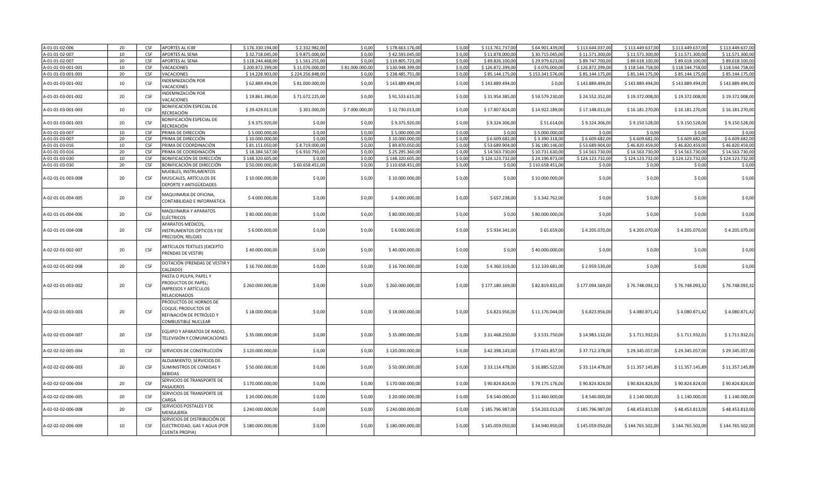| A-01-01-02-006     | 20 | CSE        | <b>APORTES AL ICBF</b>                                                                           | \$176.330.194.00 | \$2.332.982.00   | \$0.00          | \$178.663.176.00 | \$0.00 | \$113.761.737.00 | \$64,901,439.00  | \$113.644.037.00 | \$113.449.637.00 | \$113.449.637.00 | \$113.449.637.00 |
|--------------------|----|------------|--------------------------------------------------------------------------------------------------|------------------|------------------|-----------------|------------------|--------|------------------|------------------|------------------|------------------|------------------|------------------|
| A-01-01-02-007     | 10 | CSF        | <b>APORTES AL SENA</b>                                                                           | \$32.718.045,00  | \$9.875.000,00   | \$0,00          | \$42.593.045,00  | \$0,00 | \$11.878.000,00  | \$30.715.045,00  | \$11.571.300,00  | \$11.571.300,00  | \$11.571.300,00  | \$11.571.300,00  |
| A-01-01-02-007     | 20 | CSE        | APORTES AL SENA                                                                                  | \$118.244.468.00 | \$1.561.255.00   | \$0.00          | \$119.805.723.00 | \$0.00 | \$89,826,100.00  | \$29.979.623.00  | \$89,747,700.00  | \$89.618.100.00  | \$89.618.100.00  | \$89,618,100.00  |
| A-01-01-03-001-001 | 10 | CSF        | VACACIONES                                                                                       | \$200.872.399,00 | \$11.076.000,00  | \$81.000.000,00 | \$130.948.399,00 | \$0,00 | \$126.872.399,00 | \$4.076.000,0    | \$126.872.399,00 | \$118.544.758,00 | \$118.544.758,00 | \$118.544.758,00 |
| A-01-01-03-001-001 | 20 | CSF        | <b>VACACIONES</b>                                                                                | \$14.228.903,00  | \$224.256.848,00 | \$0,00          | \$238.485.751,00 | \$0,00 | \$85.144.175,00  | \$153.341.576,00 | \$85.144.175,00  | \$85.144.175,00  | \$85.144.175,00  | \$85.144.175,00  |
| A-01-01-03-001-002 | 10 | CSF        | NDEMNIZACIÓN POR<br><b>VACACIONES</b>                                                            | \$62.889.494,00  | \$81.000.000,00  | \$0,00          | \$143.889.494,00 | \$0,00 | \$143.889.494,00 | \$0,00           | \$143.889.494,00 | \$143.889.494,00 | \$143.889.494,00 | \$143.889.494,00 |
| A-01-01-03-001-002 | 20 | <b>CSF</b> | NDEMNIZACIÓN POR<br><b>VACACIONES</b>                                                            | \$19.861.390,00  | \$71.672.225,00  | \$0,00          | \$91.533.615,00  | \$0,00 | \$31.954.385,00  | \$59.579.230,00  | \$24.552.352,00  | \$19.372.008,00  | \$19.372.008,00  | \$19.372.008,00  |
| A-01-01-03-001-003 | 10 | CSF        | BONIFICACIÓN ESPECIAL DE<br>RECREACIÓN                                                           | \$39.429.013,00  | \$301.000,00     | \$7.000.000,00  | \$32.730.013,00  | \$0,00 | \$17.807.824,00  | \$14.922.189,00  | \$17.148.011,00  | \$16.181.270,00  | \$16.181.270,00  | \$16.181.270,00  |
| A-01-01-03-001-003 | 20 | CSF        | BONIFICACIÓN ESPECIAL DE<br>RECREACIÓN                                                           | \$9.375.920,00   | \$0,00           | \$0,00          | \$9.375.920,00   | \$0,00 | \$9.324.306,00   | \$51.614,00      | \$9.324.306,00   | \$9.150.528,00   | \$9.150.528,00   | \$9.150.528,00   |
| A-01-01-03-007     | 10 | CSF        | PRIMA DE DIRECCIÓN                                                                               | \$5.000.000,00   | \$0,00           | \$0,00          | \$5.000.000,00   | \$0,00 | \$0,00           | \$5.000.000,00   | \$0,00           | \$0,00           | \$0,00           | \$0,00           |
| A-01-01-03-007     | 20 | CSF        | PRIMA DE DIRECCIÓN                                                                               | \$10.000.000,00  | \$0,00           | \$0,00          | \$10.000.000,00  | \$0,00 | \$6.609.682,00   | \$3.390.318,0    | \$6.609.682,00   | \$6.609.682,00   | \$6.609.682,00   | \$6.609.682,00   |
| A-01-01-03-016     | 10 | <b>CSF</b> | PRIMA DE COORDINACIÓN                                                                            | \$81.151.050,00  | \$8.719.000,00   | \$0,00          | \$89.870.050,00  | \$0,00 | \$53.689.904,00  | \$36.180.146,00  | \$53.689.904,00  | \$46.820.459,00  | \$46.820.459,00  | \$46.820.459,00  |
| A-01-01-03-016     | 20 | CSF        | PRIMA DE COORDINACIÓN                                                                            | \$18.384.567,00  | \$6.910.793,00   | \$0,00          | \$25.295.360,00  | \$0,00 | \$14.563.730,0   | \$10.731.630,0   | \$14.563.730,00  | \$14.563.730,00  | \$14.563.730,00  | \$14.563.730,00  |
| A-01-01-03-030     | 10 | CSF        | BONIFICACIÓN DE DIRECCIÓN                                                                        | \$148.320.605,00 | \$0,00           | \$0,00          | \$148.320.605,00 | \$0,00 | \$124.123.732,00 | \$24.196.873,00  | \$124.123.732,00 | \$124.123.732,00 | \$124.123.732,00 | \$124.123.732,00 |
| A-01-01-03-030     | 20 | CSF        | BONIFICACIÓN DE DIRECCIÓN                                                                        | \$50.000.000,00  | \$60.658.451,00  | \$0,00          | \$110.658.451,00 | \$0,00 | \$0,00           | \$110.658.451,00 | \$0,00           | \$0,00           | \$0,00           | \$0,00           |
|                    |    |            | MUEBLES, INSTRUMENTOS                                                                            |                  |                  |                 |                  |        |                  |                  |                  |                  |                  |                  |
| A-02-01-01-003-008 | 20 | CSF        | MUSICALES, ARTÍCULOS DE<br>DEPORTE Y ANTIGÜEDADES                                                | \$10.000.000,00  | \$0,00           | \$0,00          | \$10.000.000,00  | \$0,00 | \$0,00           | \$10.000.000,00  | \$0,00           | \$0,00           | \$0,00           | \$0,00           |
| A-02-01-01-004-005 | 20 | CSF        | MAQUINARIA DE OFICINA,<br>CONTABILIDAD E INFORMÁTICA                                             | \$4.000.000,00   | \$0,00           | \$0,00          | \$4.000.000,00   | \$0,00 | \$657.238,00     | \$3.342.762,00   | \$0,00           | \$0,00           | \$0,00           | \$0,00           |
| A-02-01-01-004-006 | 20 | CSE        | MAQUINARIA Y APARATOS<br>ELÉCTRICOS                                                              | \$80.000.000,00  | \$0,00           | \$0,00          | \$80.000.000,00  | \$0,00 | \$0,00           | \$80.000.000,00  | \$0,00           | \$0,00           | \$0,00           | \$0,00           |
| A-02-01-01-004-008 | 20 | CSF        | APARATOS MÉDICOS,<br>INSTRUMENTOS ÓPTICOS Y DE<br>PRECISIÓN, RELOJES                             | \$6.000.000,00   | \$0,00           | \$0,00          | \$6.000.000,00   | \$0,00 | \$5.934.341,00   | \$65.659,00      | \$4.205.070,00   | \$4.205.070,00   | \$4.205.070,00   | \$4.205.070,00   |
| A-02-02-01-002-007 | 20 | CSF        | ARTÍCULOS TEXTILES (EXCEPTO<br>PRENDAS DE VESTIR)                                                | \$40.000.000,00  | \$0,00           | \$0,00          | \$40.000.000,00  | \$0,00 | \$0,00           | \$40.000.000,00  | \$0,00           | \$0,00           | \$0,00           | \$0,00           |
| A-02-02-01-002-008 | 20 | CSF        | DOTACIÓN (PRENDAS DE VESTIR Y<br>CALZADO)                                                        | \$16.700.000,00  | \$0,00           | \$0,00          | \$16.700.000,00  | \$0,00 | \$4.360.319,00   | \$12.339.681,00  | \$2.959.530,00   | \$0,00           | \$0,00           | \$0,00           |
| A-02-02-01-003-002 | 20 | CSF        | PASTA O PULPA, PAPEL Y<br>PRODUCTOS DE PAPEL;<br>IMPRESOS Y ARTÍCULOS<br>RELACIONADOS            | \$260.000.000,00 | \$0,00           | \$0,00          | \$260.000.000,00 | \$0,00 | \$177.180.169,00 | \$82.819.831,00  | \$177.094.569,00 | \$76.748.093,32  | \$76.748.093,32  | \$76.748.093,32  |
| A-02-02-01-003-003 | 20 | CSF        | PRODUCTOS DE HORNOS DE<br>COQUE; PRODUCTOS DE<br>REFINACIÓN DE PETRÓLEO Y<br>COMBUSTIBLE NUCLEAR | \$18.000.000,00  | \$0,00           | \$0,00          | \$18.000.000,00  | \$0,00 | \$6.823.956,00   | \$11.176.044,00  | \$6.823.956,00   | \$4.080.871,42   | \$4.080.871,42   | \$4.080.871,42   |
| A-02-02-01-004-007 | 20 | CSE        | EQUIPO Y APARATOS DE RADIO,<br>TELEVISIÓN Y COMUNICACIONES                                       | \$35.000.000,00  | \$0,00           | \$0.00          | \$35.000.000,00  | \$0,00 | \$31,468,250.00  | \$3.531.750,00   | \$14.983.132,00  | \$1.711.932,01   | \$1.711.932,01   | \$1.711.932,01   |
| A-02-02-02-005-004 | 20 | <b>CSF</b> | SERVICIOS DE CONSTRUCCIÓN                                                                        | \$120.000.000,00 | \$0,00           | \$0,00          | \$120.000.000,00 | \$0,00 | \$42.398.143,00  | \$77.601.857,0   | \$37.712.378,00  | \$29.345.057,00  | \$29.345.057,00  | \$29.345.057,00  |
| A-02-02-02-006-003 | 20 | <b>CSF</b> | ALOJAMIENTO; SERVICIOS DE<br>SUMINISTROS DE COMIDAS Y<br><b>BEBIDAS</b>                          | \$50.000.000,00  | \$0,00           | \$0,00          | \$50.000.000,00  | \$0,00 | \$33.114.478,00  | \$16.885.522,00  | \$33.114.478,00  | \$11.357.145,89  | \$11.357.145,89  | \$11.357.145,89  |
| A-02-02-02-006-004 | 20 | CSF        | SERVICIOS DE TRANSPORTE DE<br>PASAJEROS                                                          | \$170.000.000,00 | \$0,00           | \$0,00          | \$170.000.000,00 | \$0,00 | \$90.824.824,00  | \$79.175.176,00  | \$90.824.824,00  | \$90.824.824,00  | \$90.824.824,00  | \$90.824.824,00  |
| A-02-02-02-006-005 | 20 | CSF        | SERVICIOS DE TRANSPORTE DE<br>CARGA                                                              | \$20.000.000,00  | \$0,00           | \$0,00          | \$20.000.000,00  | \$0,00 | \$8.540.000,00   | \$11.460.000,00  | \$8.540.000,00   | \$1.140.000,00   | \$1.140.000,00   | \$1.140.000,00   |
| A-02-02-02-006-008 | 20 | CSF        | SERVICIOS POSTALES Y DE<br>MENSAJERÍA                                                            | \$240.000.000,00 | \$0,00           | \$0,00          | \$240.000.000,00 | \$0,00 | \$185.796.987,00 | \$54.203.013,00  | \$185.796.987,00 | \$48.453.813,00  | \$48.453.813,00  | \$48.453.813,00  |
| A-02-02-02-006-009 | 10 | CSE        | SERVICIOS DE DISTRIBUCIÓN DE<br>ELECTRICIDAD, GAS Y AGUA (POR<br><b>CUENTA PROPIA)</b>           | \$180.000.000,00 | \$0,00           | \$0,00          | \$180.000.000,00 | \$0,00 | \$145.059.050,00 | \$34.940.950,00  | \$145.059.050,00 | \$144.765.502,00 | \$144.765.502,00 | \$144.765.502,00 |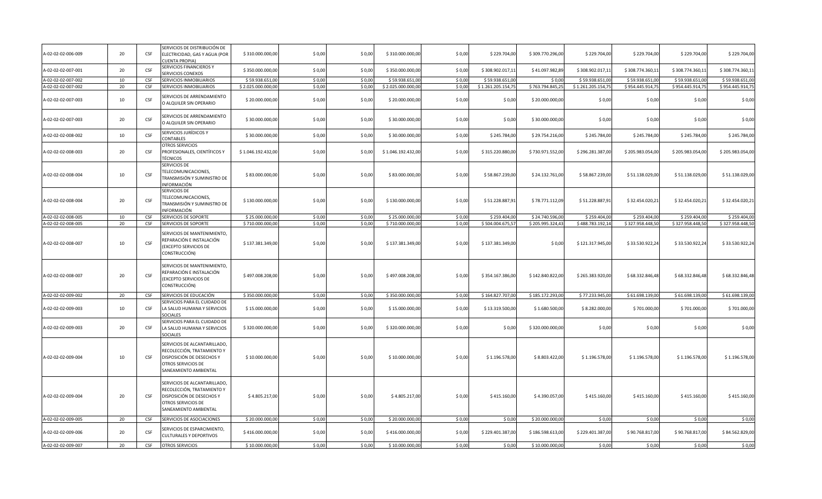| A-02-02-02-006-009 | 20 | CSF        | SERVICIOS DE DISTRIBUCIÓN DE<br>ELECTRICIDAD, GAS Y AGUA (POR<br><b>CUENTA PROPIA)</b>                                                 | \$310.000.000,00   | \$0,00 | \$ 0,00 | \$310.000.000,00   | \$0,00 | \$229.704,00       | \$309.770.296,00 | \$229.704,00       | \$229.704,00     | \$229.704,00     | \$229.704,00     |
|--------------------|----|------------|----------------------------------------------------------------------------------------------------------------------------------------|--------------------|--------|---------|--------------------|--------|--------------------|------------------|--------------------|------------------|------------------|------------------|
| A-02-02-02-007-001 | 20 | CSF        | SERVICIOS FINANCIEROS Y<br>SERVICIOS CONEXOS                                                                                           | \$350.000.000,00   | \$0,00 | \$0,00  | \$350.000.000,00   | \$0,00 | \$308.902.017,11   | \$41.097.982,89  | \$308.902.017,11   | \$308.774.360,11 | \$308.774.360,11 | \$308.774.360,11 |
| A-02-02-02-007-002 | 10 | CSF        | SERVICIOS INMOBILIARIOS                                                                                                                | \$59.938.651,0     | \$0,00 | \$0,00  | \$59.938.651,00    | \$0,00 | \$59.938.651,00    | \$0,00           | \$59.938.651,00    | \$59.938.651,00  | \$59.938.651,00  | \$59.938.651,00  |
| A-02-02-02-007-002 | 20 | <b>CSF</b> | SERVICIOS INMOBILIARIOS                                                                                                                | \$2.025.000.000,00 | \$0,00 | \$0,00  | \$2.025.000.000,00 | \$0,00 | \$1.261.205.154,75 | \$763.794.845,25 | \$1.261.205.154,75 | \$954.445.914,75 | \$954.445.914,75 | \$954.445.914,75 |
| A-02-02-02-007-003 | 10 | CSF        | SERVICIOS DE ARRENDAMIENTO<br>O ALQUILER SIN OPERARIO                                                                                  | \$20.000.000,00    | \$0,00 | \$0,00  | \$20,000,000,00    | \$0,00 | \$0,00             | \$20.000.000,00  | \$0,00             | \$0,00           | \$0,00           | \$0,00           |
| A-02-02-02-007-003 | 20 | CSF        | SERVICIOS DE ARRENDAMIENTO<br>O ALQUILER SIN OPERARIO                                                                                  | \$30.000.000,00    | \$0,00 | \$ 0,00 | \$30.000.000,00    | \$0,00 | \$0,00             | \$30.000.000,00  | \$0,00             | \$ 0,00          | \$ 0,00          | \$0,00           |
| A-02-02-02-008-002 | 10 | CSF        | SERVICIOS JURÍDICOS Y<br>CONTABLES                                                                                                     | \$30.000.000,00    | \$0,00 | \$0,00  | \$30.000.000,00    | \$0,00 | \$245.784,00       | \$29.754.216,00  | \$245.784,00       | \$245.784,00     | \$245.784,00     | \$245.784,00     |
| A-02-02-02-008-003 | 20 | CSF        | OTROS SERVICIOS<br>PROFESIONALES, CIENTÍFICOS Y<br><b>TÉCNICOS</b>                                                                     | \$1.046.192.432,00 | \$0,00 | \$0,00  | \$1.046.192.432,00 | \$0,00 | \$315.220.880,00   | \$730.971.552,00 | \$296.281.387,00   | \$205.983.054,00 | \$205.983.054,00 | \$205.983.054,00 |
| A-02-02-02-008-004 | 10 | CSF        | SERVICIOS DE<br>TELECOMUNICACIONES,<br>TRANSMISIÓN Y SUMINISTRO DE<br>INFORMACIÓN                                                      | \$83.000.000,00    | \$0,00 | \$0,00  | \$83.000.000,00    | \$0,00 | \$58.867.239,00    | \$24.132.761,00  | \$58.867.239,00    | \$51.138.029,00  | \$51.138.029,00  | \$51.138.029,00  |
| A-02-02-02-008-004 | 20 | CSF        | SERVICIOS DE<br>TELECOMUNICACIONES,<br>TRANSMISIÓN Y SUMINISTRO DE<br>INFORMACIÓN                                                      | \$130.000.000,00   | \$0,00 | \$ 0,00 | \$130.000.000,00   | \$0,00 | \$51.228.887,91    | \$78.771.112,09  | \$51.228.887,91    | \$32.454.020,21  | \$32.454.020,21  | \$32.454.020,21  |
| A-02-02-02-008-005 | 10 | CSF        | SERVICIOS DE SOPORTE                                                                                                                   | \$25.000.000,00    | \$0,00 | \$0,00  | \$25.000.000,00    | \$0,00 | \$259.404,00       | \$24.740.596,00  | \$259.404,00       | \$259.404,00     | \$259.404,00     | \$259.404,00     |
| A-02-02-02-008-005 | 20 | CSF        | SERVICIOS DE SOPORTE                                                                                                                   | \$710.000.000,0    | \$0,00 | \$0,00  | \$710.000.000,00   | \$0,00 | \$504.004.675,57   | \$205.995.324,43 | \$488.783.192,14   | \$327.958.448,50 | \$327.958.448,50 | \$327.958.448,50 |
| A-02-02-02-008-007 | 10 | CSF        | SERVICIOS DE MANTENIMIENTO,<br>REPARACIÓN E INSTALACIÓN<br>(EXCEPTO SERVICIOS DE<br>CONSTRUCCIÓN)                                      | \$137.381.349,00   | \$0,00 | \$0,00  | \$137.381.349,00   | \$0,00 | \$137.381.349,00   | \$0,00           | \$121.317.945,00   | \$33.530.922,24  | \$33.530.922,24  | \$33.530.922,24  |
| A-02-02-02-008-007 | 20 | CSF        | SERVICIOS DE MANTENIMIENTO,<br>REPARACIÓN E INSTALACIÓN<br>(EXCEPTO SERVICIOS DE<br>CONSTRUCCIÓN)                                      | \$497.008.208,00   | \$0,00 | \$0,00  | \$497.008.208,00   | \$0,00 | \$354.167.386,00   | \$142.840.822,00 | \$265.383.920,00   | \$68.332.846,48  | \$68.332.846,48  | \$68.332.846,48  |
| A-02-02-02-009-002 | 20 | <b>CSF</b> | SERVICIOS DE EDUCACIÓN                                                                                                                 | \$350.000.000,00   | \$0,00 | \$0,00  | \$350.000.000,00   | \$0,00 | \$164.827.707,00   | \$185.172.293,00 | \$77.233.945,00    | \$61.698.139,00  | \$61.698.139,00  | \$61.698.139,00  |
| A-02-02-02-009-003 | 10 | CSF        | SERVICIOS PARA EL CUIDADO DE<br>LA SALUD HUMANA Y SERVICIOS<br>SOCIALES                                                                | \$15.000.000,00    | \$0,00 | \$0,00  | \$15.000.000,00    | \$0,00 | \$13.319.500,00    | \$1.680.500,00   | \$8.282.000,00     | \$701.000,00     | \$701.000,00     | \$701.000,00     |
| A-02-02-02-009-003 | 20 | CSF        | SERVICIOS PARA EL CUIDADO DE<br>LA SALUD HUMANA Y SERVICIOS<br><b>SOCIALES</b>                                                         | \$320.000.000,00   | \$0,00 | \$0,00  | \$320.000.000,00   | \$0,00 | \$0,00             | \$320.000.000,00 | \$0,00             | \$ 0,00          | \$0,00           | \$0,00           |
| A-02-02-02-009-004 | 10 | CSF        | SERVICIOS DE ALCANTARILLADO,<br>RECOLECCIÓN, TRATAMIENTO Y<br>DISPOSICIÓN DE DESECHOS Y<br>OTROS SERVICIOS DE<br>SANEAMIENTO AMBIENTAL | \$10.000.000,00    | \$0,00 | \$0,00  | \$10.000.000,00    | \$0.00 | \$1.196.578,00     | \$8.803.422,00   | \$1.196.578,00     | \$1.196.578,00   | \$1.196.578,00   | \$1.196.578,00   |
| A-02-02-02-009-004 | 20 | CSF        | SERVICIOS DE ALCANTARILLADO,<br>RECOLECCIÓN, TRATAMIENTO Y<br>DISPOSICIÓN DE DESECHOS Y<br>OTROS SERVICIOS DE<br>SANEAMIENTO AMBIENTAL | \$4.805.217,00     | \$0,00 | \$ 0,00 | \$4.805.217,00     | \$0,00 | \$415.160,00       | \$4.390.057,00   | \$415.160,00       | \$415.160,00     | \$415.160,00     | \$415.160,00     |
| A-02-02-02-009-005 | 20 | CSF        | SERVICIOS DE ASOCIACIONES                                                                                                              | \$20.000.000,0     | \$0,00 | \$0,00  | \$20.000.000,00    | \$0,00 | \$0,00             | \$20.000.000,0   | \$0,00             | \$0,00           | \$0,00           | \$0,00           |
| A-02-02-02-009-006 | 20 | CSF        | SERVICIOS DE ESPARCIMIENTO,<br><b>CULTURALES Y DEPORTIVOS</b>                                                                          | \$416.000.000,00   | \$0,00 | \$0,00  | \$416.000.000,00   | \$0,00 | \$229.401.387,00   | \$186.598.613,00 | \$229.401.387,00   | \$90.768.817,00  | \$90.768.817,00  | \$84.562.829,00  |
| A-02-02-02-009-007 | 20 | CSF        | OTROS SERVICIOS                                                                                                                        | \$10.000.000,00    | \$0,00 | \$0,00  | \$10.000.000,00    | \$0,00 | \$0,00             | \$10.000.000,00  | \$0,00             | \$0,00           | \$0,00           | \$0,00           |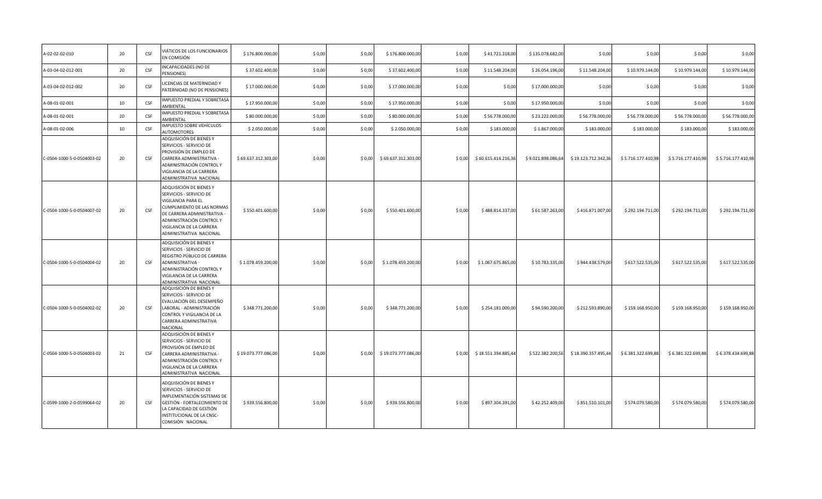| A-02-02-02-010             | 20 | CSF | VIÁTICOS DE LOS FUNCIONARIOS<br>EN COMISIÓN                                                                                                                                                                              | \$176.800.000,00    | \$0,00  | \$ 0,00 | \$176.800.000,00    | \$0,00 | \$41.721.318,00     | \$135.078.682,00   | \$0,00              | \$0,00             | \$0,00             | \$0,00             |
|----------------------------|----|-----|--------------------------------------------------------------------------------------------------------------------------------------------------------------------------------------------------------------------------|---------------------|---------|---------|---------------------|--------|---------------------|--------------------|---------------------|--------------------|--------------------|--------------------|
| A-03-04-02-012-001         | 20 | CSF | INCAPACIDADES (NO DE<br>PENSIONES)                                                                                                                                                                                       | \$37.602.400,00     | \$0,00  | \$0,00  | \$37.602.400,00     | \$0,00 | \$11.548.204,00     | \$26.054.196,00    | \$11.548.204,00     | \$10.979.144,00    | \$10.979.144,00    | \$10.979.144,00    |
| A-03-04-02-012-002         | 20 | CSF | ICENCIAS DE MATERNIDAD Y<br>PATERNIDAD (NO DE PENSIONES)                                                                                                                                                                 | \$17.000.000,00     | \$0,00  | \$0,00  | \$17.000.000,00     | \$0,00 | \$0,00              | \$17.000.000,00    | \$0,00              | \$0,00             | \$0,00             | \$0,00             |
| A-08-01-02-001             | 10 | CSF | IMPUESTO PREDIAL Y SOBRETASA<br>AMBIENTAL                                                                                                                                                                                | \$17.950.000,00     | \$0,00  | \$0,00  | \$17.950.000,00     | \$0,00 | \$0,00              | \$17.950.000,00    | \$0,00              | \$0,00             | \$0,00             | \$0,00             |
| A-08-01-02-001             | 20 | CSF | IMPUESTO PREDIAL Y SOBRETASA<br>AMBIENTAL                                                                                                                                                                                | \$80.000.000,00     | \$0,00  | \$0,00  | \$80.000.000,00     | \$0,00 | \$56.778.000,00     | \$23.222.000,00    | \$56.778.000,00     | \$56.778.000,00    | \$56.778.000,00    | \$56.778.000,00    |
| A-08-01-02-006             | 10 | CSF | IMPUESTO SOBRE VEHÍCULOS<br><b>AUTOMOTORES</b>                                                                                                                                                                           | \$2.050.000,00      | \$0,00  | \$0,00  | \$2.050.000,00      | \$0,00 | \$183.000,00        | \$1.867.000,00     | \$183.000,00        | \$183.000,00       | \$183.000,00       | \$183.000,00       |
| C-0504-1000-5-0-0504003-02 | 20 | CSF | ADQUISICIÓN DE BIENES Y<br>SERVICIOS - SERVICIO DE<br>PROVISIÓN DE EMPLEO DE<br>CARRERA ADMINISTRATIVA -<br>ADMINISTRACIÓN CONTROL Y<br>VIGILANCIA DE LA CARRERA<br>ADMINISTRATIVA NACIONAL                              | \$69.637.312.303,00 | \$0,00  | \$0.00  | \$69.637.312.303,00 | \$0.00 | \$60.615.414.216,36 | \$9.021.898.086,64 | \$19.123.712.342,36 | \$5.716.177.410,98 | \$5.716.177.410,98 | \$5.716.177.410,98 |
| C-0504-1000-5-0-0504007-02 | 20 | CSF | ADQUISICIÓN DE BIENES Y<br>SERVICIOS - SERVICIO DE<br>VIGILANCIA PARA EL<br>CUMPLIMIENTO DE LAS NORMAS<br>DE CARRERA ADMINISTRATIVA -<br>ADMINISTRACIÓN CONTROL Y<br>VIGILANCIA DE LA CARRERA<br>ADMINISTRATIVA NACIONAL | \$550.401.600,00    | \$0,00  | \$0,00  | \$550.401.600,00    | \$0,00 | \$488.814.337,00    | \$61.587.263,00    | \$416.871.007,00    | \$292.194.711,00   | \$292.194.711,00   | \$292.194.711,00   |
| C-0504-1000-5-0-0504004-02 | 20 | CSF | ADQUISICIÓN DE BIENES Y<br>SERVICIOS - SERVICIO DE<br>REGISTRO PÚBLICO DE CARRERA<br>ADMINISTRATIVA -<br>ADMINISTRACIÓN CONTROL Y<br>VIGILANCIA DE LA CARRERA<br>ADMINISTRATIVA NACIONAL                                 | \$1.078.459.200,00  | \$0,00  | \$ 0,00 | \$1.078.459.200,00  | \$0,00 | \$1.067.675.865,00  | \$10.783.335,00    | \$944.438.579,00    | \$617.522.535,00   | \$617.522.535,00   | \$617.522.535,00   |
| C-0504-1000-5-0-0504002-02 | 20 | CSF | ADQUISICIÓN DE BIENES Y<br>SERVICIOS - SERVICIO DE<br>EVALUACIÓN DEL DESEMPEÑO<br>LABORAL - ADMINISTRACIÓN<br>CONTROL Y VIGILANCIA DE LA<br>CARRERA ADMINISTRATIVA<br>NACIONAL                                           | \$348.771.200,00    | \$0,00  | \$0,00  | \$348.771.200,00    | \$0,00 | \$254.181.000,00    | \$94.590.200,00    | \$212.593.890,00    | \$159.168.950,00   | \$159.168.950,00   | \$159.168.950,00   |
| C-0504-1000-5-0-0504003-02 | 21 | CSF | ADQUISICIÓN DE BIENES Y<br>SERVICIOS - SERVICIO DE<br>PROVISIÓN DE EMPLEO DE<br>CARRERA ADMINISTRATIVA -<br>ADMINISTRACIÓN CONTROL Y<br>VIGILANCIA DE LA CARRERA<br>ADMINISTRATIVA NACIONAL                              | \$19.073.777.086,00 | \$0,00  | \$ 0,00 | \$19.073.777.086,00 | \$0,00 | \$18.551.394.885,44 | \$522.382.200,56   | \$18.390.357.495,44 | \$6.381.322.699,88 | \$6.381.322.699,88 | \$6.378.434.699,88 |
| C-0599-1000-2-0-0599064-02 | 20 | CSF | ADQUISICIÓN DE BIENES Y<br>SERVICIOS - SERVICIO DE<br>IMPLEMENTACIÓN SISTEMAS DE<br>GESTIÓN - FORTALECIMIENTO DE<br>LA CAPACIDAD DE GESTIÓN<br>INSTITUCIONAL DE LA CNSC-<br>COMISIÓN NACIONAL                            | \$939.556.800,00    | \$ 0,00 | \$ 0,00 | \$939.556.800,00    | \$0,00 | \$897.304.391,00    | \$42.252.409,00    | \$851.510.101,00    | \$574.079.580,00   | \$574.079.580,00   | \$574.079.580,00   |